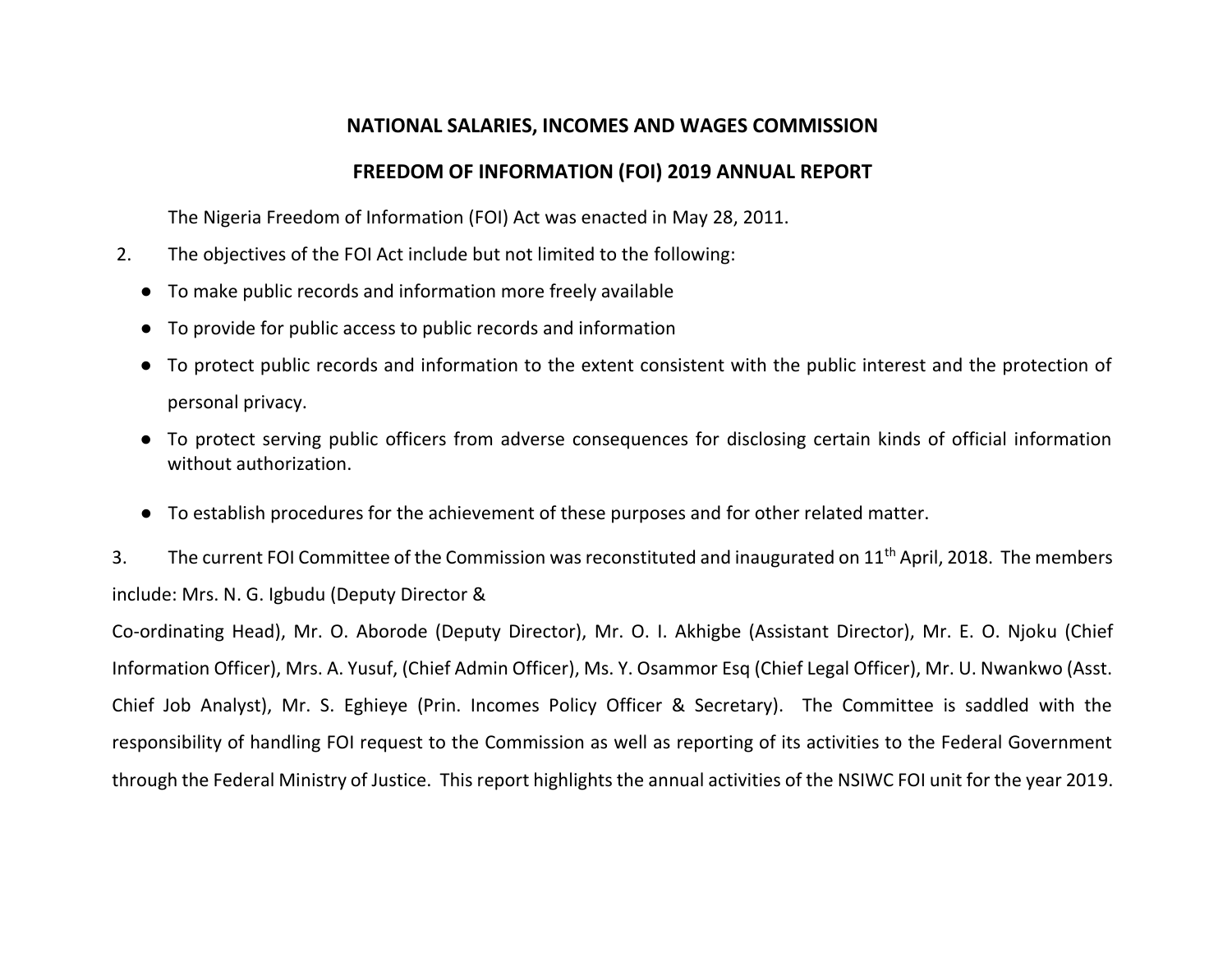### **NATIONAL SALARIES, INCOMES AND WAGES COMMISSION**

## **FREEDOM OF INFORMATION (FOI) 2019 ANNUAL REPORT**

The Nigeria Freedom of Information (FOI) Act was enacted in May 28, 2011.

- 2. The objectives of the FOI Act include but not limited to the following:
	- To make public records and information more freely available
	- To provide for public access to public records and information
	- To protect public records and information to the extent consistent with the public interest and the protection of personal privacy.
	- To protect serving public officers from adverse consequences for disclosing certain kinds of official information without authorization.
	- To establish procedures for the achievement of these purposes and for other related matter.

3. The current FOI Committee of the Commission was reconstituted and inaugurated on 11<sup>th</sup> April, 2018. The members include: Mrs. N. G. Igbudu (Deputy Director &

Co-ordinating Head), Mr. O. Aborode (Deputy Director), Mr. O. I. Akhigbe (Assistant Director), Mr. E. O. Njoku (Chief Information Officer), Mrs. A. Yusuf, (Chief Admin Officer), Ms. Y. Osammor Esq (Chief Legal Officer), Mr. U. Nwankwo (Asst. Chief Job Analyst), Mr. S. Eghieye (Prin. Incomes Policy Officer & Secretary). The Committee is saddled with the responsibility of handling FOI request to the Commission as well as reporting of its activities to the Federal Government through the Federal Ministry of Justice. This report highlights the annual activities of the NSIWC FOI unit for the year 2019.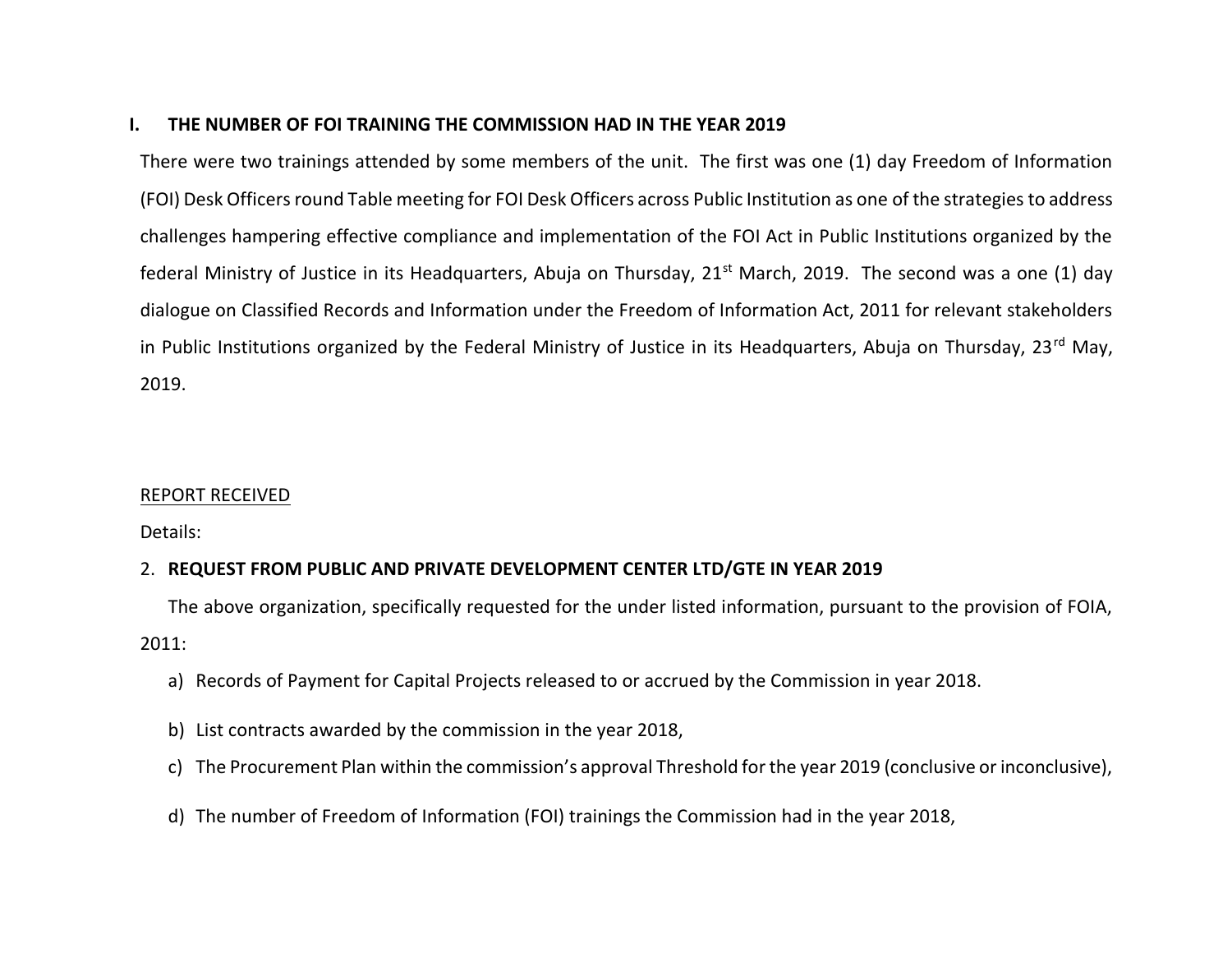#### **I. THE NUMBER OF FOI TRAINING THE COMMISSION HAD IN THE YEAR 2019**

There were two trainings attended by some members of the unit. The first was one (1) day Freedom of Information (FOI) Desk Officers round Table meeting for FOI Desk Officers across Public Institution as one of the strategies to address challenges hampering effective compliance and implementation of the FOI Act in Public Institutions organized by the federal Ministry of Justice in its Headquarters, Abuja on Thursday, 21<sup>st</sup> March, 2019. The second was a one (1) day dialogue on Classified Records and Information under the Freedom of Information Act, 2011 for relevant stakeholders in Public Institutions organized by the Federal Ministry of Justice in its Headquarters, Abuja on Thursday, 23<sup>rd</sup> May, 2019.

#### REPORT RECEIVED

Details:

### 2. **REQUEST FROM PUBLIC AND PRIVATE DEVELOPMENT CENTER LTD/GTE IN YEAR 2019**

The above organization, specifically requested for the under listed information, pursuant to the provision of FOIA, 2011:

- a) Records of Payment for Capital Projects released to or accrued by the Commission in year 2018.
- b) List contracts awarded by the commission in the year 2018,
- c) The Procurement Plan within the commission's approval Threshold for the year 2019 (conclusive or inconclusive),
- d) The number of Freedom of Information (FOI) trainings the Commission had in the year 2018,